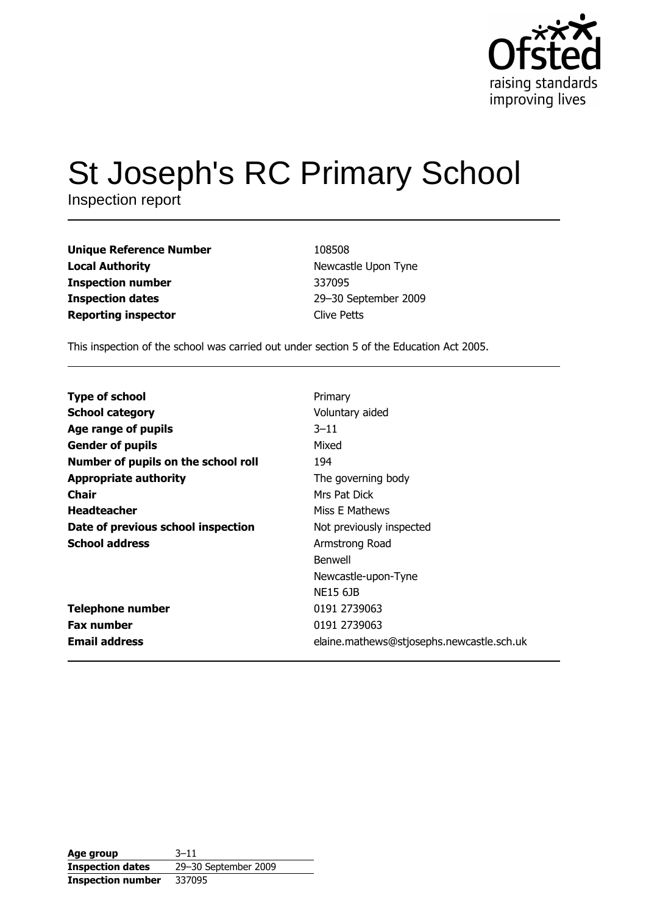

# **St Joseph's RC Primary School**

Inspection report

**Unique Reference Number Local Authority Inspection number Inspection dates Reporting inspector** 

108508 Newcastle Upon Tyne 337095 29-30 September 2009 **Clive Petts** 

This inspection of the school was carried out under section 5 of the Education Act 2005.

| <b>Type of school</b>               | Primary                                   |
|-------------------------------------|-------------------------------------------|
| <b>School category</b>              | Voluntary aided                           |
| Age range of pupils                 | $3 - 11$                                  |
| <b>Gender of pupils</b>             | Mixed                                     |
| Number of pupils on the school roll | 194                                       |
| <b>Appropriate authority</b>        | The governing body                        |
| <b>Chair</b>                        | Mrs Pat Dick                              |
| <b>Headteacher</b>                  | Miss E Mathews                            |
| Date of previous school inspection  | Not previously inspected                  |
| <b>School address</b>               | Armstrong Road                            |
|                                     | Benwell                                   |
|                                     | Newcastle-upon-Tyne                       |
|                                     | <b>NE15 61B</b>                           |
| <b>Telephone number</b>             | 0191 2739063                              |
| <b>Fax number</b>                   | 0191 2739063                              |
| <b>Email address</b>                | elaine.mathews@stjosephs.newcastle.sch.uk |

| Age group                | $3 - 11$             |
|--------------------------|----------------------|
| <b>Inspection dates</b>  | 29-30 September 2009 |
| <b>Inspection number</b> | 337095               |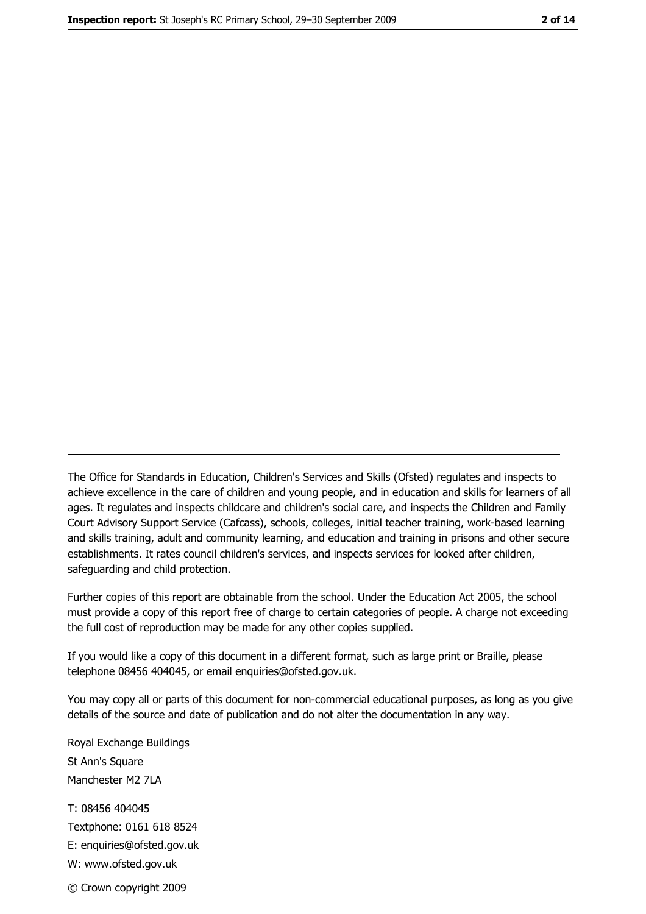The Office for Standards in Education, Children's Services and Skills (Ofsted) regulates and inspects to achieve excellence in the care of children and young people, and in education and skills for learners of all ages. It regulates and inspects childcare and children's social care, and inspects the Children and Family Court Advisory Support Service (Cafcass), schools, colleges, initial teacher training, work-based learning and skills training, adult and community learning, and education and training in prisons and other secure establishments. It rates council children's services, and inspects services for looked after children, safequarding and child protection.

Further copies of this report are obtainable from the school. Under the Education Act 2005, the school must provide a copy of this report free of charge to certain categories of people. A charge not exceeding the full cost of reproduction may be made for any other copies supplied.

If you would like a copy of this document in a different format, such as large print or Braille, please telephone 08456 404045, or email enquiries@ofsted.gov.uk.

You may copy all or parts of this document for non-commercial educational purposes, as long as you give details of the source and date of publication and do not alter the documentation in any way.

Royal Exchange Buildings St Ann's Square Manchester M2 7LA T: 08456 404045 Textphone: 0161 618 8524 E: enquiries@ofsted.gov.uk W: www.ofsted.gov.uk © Crown copyright 2009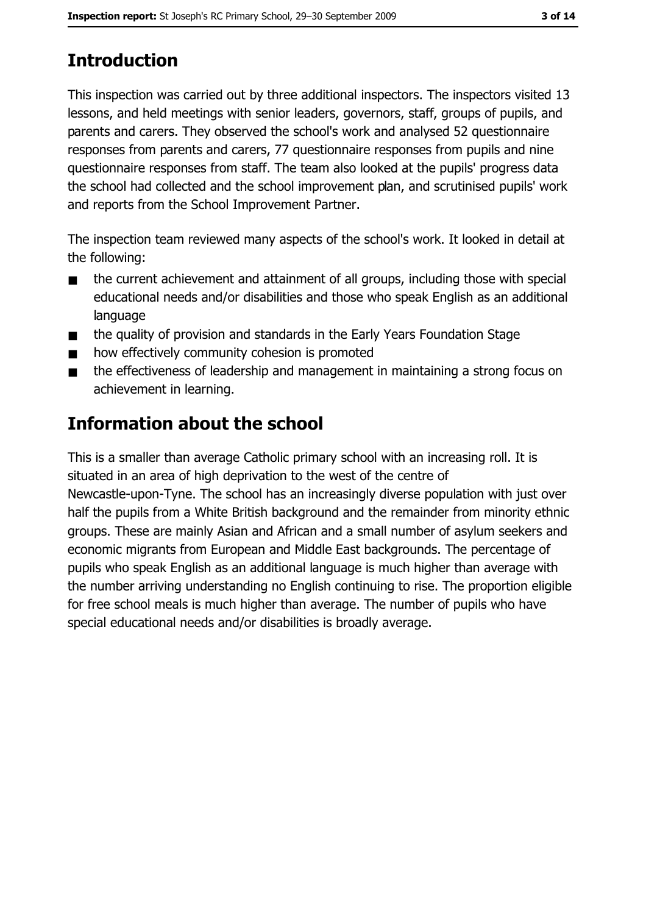# **Introduction**

This inspection was carried out by three additional inspectors. The inspectors visited 13 lessons, and held meetings with senior leaders, governors, staff, groups of pupils, and parents and carers. They observed the school's work and analysed 52 questionnaire responses from parents and carers, 77 questionnaire responses from pupils and nine questionnaire responses from staff. The team also looked at the pupils' progress data the school had collected and the school improvement plan, and scrutinised pupils' work and reports from the School Improvement Partner.

The inspection team reviewed many aspects of the school's work. It looked in detail at the following:

- the current achievement and attainment of all groups, including those with special  $\blacksquare$ educational needs and/or disabilities and those who speak English as an additional language
- the quality of provision and standards in the Early Years Foundation Stage  $\blacksquare$
- how effectively community cohesion is promoted
- the effectiveness of leadership and management in maintaining a strong focus on  $\blacksquare$ achievement in learning.

# Information about the school

This is a smaller than average Catholic primary school with an increasing roll. It is situated in an area of high deprivation to the west of the centre of Newcastle-upon-Tyne. The school has an increasingly diverse population with just over half the pupils from a White British background and the remainder from minority ethnic groups. These are mainly Asian and African and a small number of asylum seekers and economic migrants from European and Middle East backgrounds. The percentage of pupils who speak English as an additional language is much higher than average with the number arriving understanding no English continuing to rise. The proportion eligible for free school meals is much higher than average. The number of pupils who have special educational needs and/or disabilities is broadly average.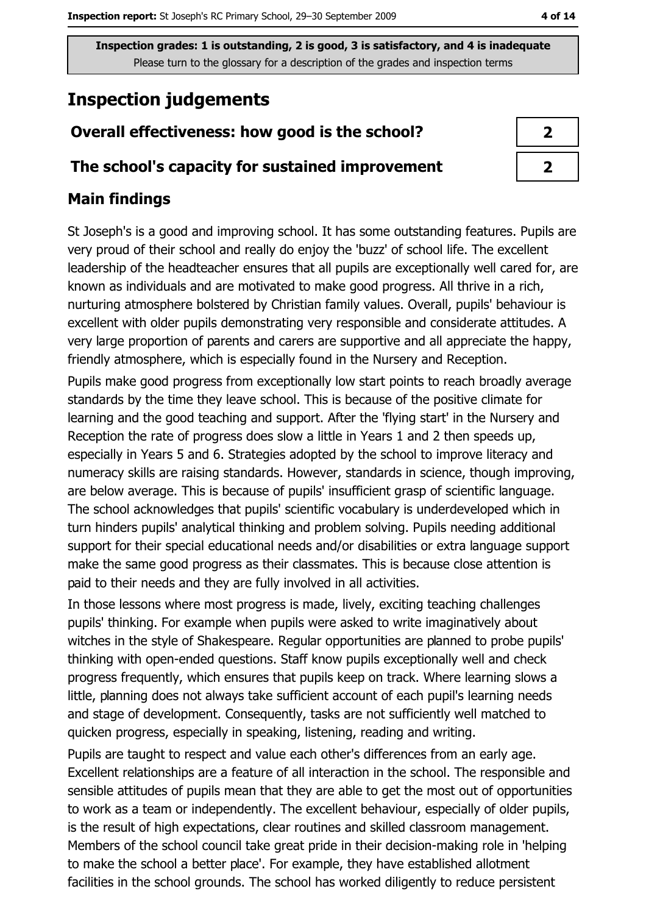## **Inspection judgements**

#### Overall effectiveness: how good is the school?

#### The school's capacity for sustained improvement

#### **Main findings**

St Joseph's is a good and improving school. It has some outstanding features. Pupils are very proud of their school and really do enjoy the 'buzz' of school life. The excellent leadership of the headteacher ensures that all pupils are exceptionally well cared for, are known as individuals and are motivated to make good progress. All thrive in a rich, nurturing atmosphere bolstered by Christian family values. Overall, pupils' behaviour is excellent with older pupils demonstrating very responsible and considerate attitudes. A very large proportion of parents and carers are supportive and all appreciate the happy, friendly atmosphere, which is especially found in the Nursery and Reception.

Pupils make good progress from exceptionally low start points to reach broadly average standards by the time they leave school. This is because of the positive climate for learning and the good teaching and support. After the 'flying start' in the Nursery and Reception the rate of progress does slow a little in Years 1 and 2 then speeds up, especially in Years 5 and 6. Strategies adopted by the school to improve literacy and numeracy skills are raising standards. However, standards in science, though improving, are below average. This is because of pupils' insufficient grasp of scientific language. The school acknowledges that pupils' scientific vocabulary is underdeveloped which in turn hinders pupils' analytical thinking and problem solving. Pupils needing additional support for their special educational needs and/or disabilities or extra language support make the same good progress as their classmates. This is because close attention is paid to their needs and they are fully involved in all activities.

In those lessons where most progress is made, lively, exciting teaching challenges pupils' thinking. For example when pupils were asked to write imaginatively about witches in the style of Shakespeare. Regular opportunities are planned to probe pupils' thinking with open-ended questions. Staff know pupils exceptionally well and check progress frequently, which ensures that pupils keep on track. Where learning slows a little, planning does not always take sufficient account of each pupil's learning needs and stage of development. Consequently, tasks are not sufficiently well matched to quicken progress, especially in speaking, listening, reading and writing.

Pupils are taught to respect and value each other's differences from an early age. Excellent relationships are a feature of all interaction in the school. The responsible and sensible attitudes of pupils mean that they are able to get the most out of opportunities to work as a team or independently. The excellent behaviour, especially of older pupils, is the result of high expectations, clear routines and skilled classroom management. Members of the school council take great pride in their decision-making role in 'helping to make the school a better place'. For example, they have established allotment facilities in the school grounds. The school has worked diligently to reduce persistent

| 2 |  |
|---|--|
| 2 |  |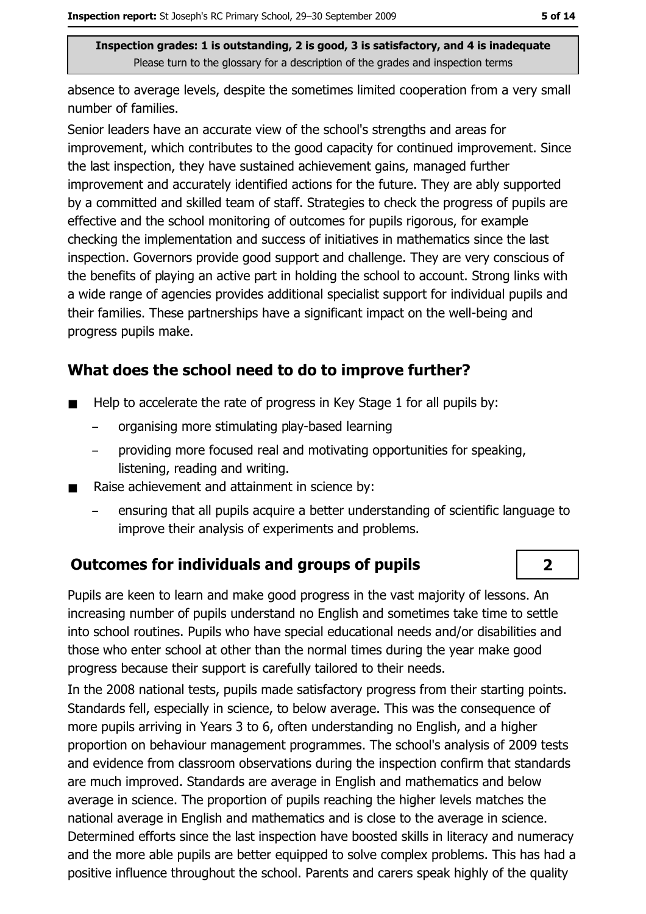absence to average levels, despite the sometimes limited cooperation from a very small number of families.

Senior leaders have an accurate view of the school's strengths and areas for improvement, which contributes to the good capacity for continued improvement. Since the last inspection, they have sustained achievement gains, managed further improvement and accurately identified actions for the future. They are ably supported by a committed and skilled team of staff. Strategies to check the progress of pupils are effective and the school monitoring of outcomes for pupils rigorous, for example checking the implementation and success of initiatives in mathematics since the last inspection. Governors provide good support and challenge. They are very conscious of the benefits of playing an active part in holding the school to account. Strong links with a wide range of agencies provides additional specialist support for individual pupils and their families. These partnerships have a significant impact on the well-being and progress pupils make.

#### What does the school need to do to improve further?

- Help to accelerate the rate of progress in Key Stage 1 for all pupils by:  $\blacksquare$ 
	- organising more stimulating play-based learning
	- providing more focused real and motivating opportunities for speaking, listening, reading and writing.
- Raise achievement and attainment in science by:  $\blacksquare$ 
	- ensuring that all pupils acquire a better understanding of scientific language to improve their analysis of experiments and problems.

#### **Outcomes for individuals and groups of pupils**

Pupils are keen to learn and make good progress in the vast majority of lessons. An increasing number of pupils understand no English and sometimes take time to settle into school routines. Pupils who have special educational needs and/or disabilities and those who enter school at other than the normal times during the year make good progress because their support is carefully tailored to their needs.

In the 2008 national tests, pupils made satisfactory progress from their starting points. Standards fell, especially in science, to below average. This was the consequence of more pupils arriving in Years 3 to 6, often understanding no English, and a higher proportion on behaviour management programmes. The school's analysis of 2009 tests and evidence from classroom observations during the inspection confirm that standards are much improved. Standards are average in English and mathematics and below average in science. The proportion of pupils reaching the higher levels matches the national average in English and mathematics and is close to the average in science. Determined efforts since the last inspection have boosted skills in literacy and numeracy and the more able pupils are better equipped to solve complex problems. This has had a positive influence throughout the school. Parents and carers speak highly of the quality

 $\overline{2}$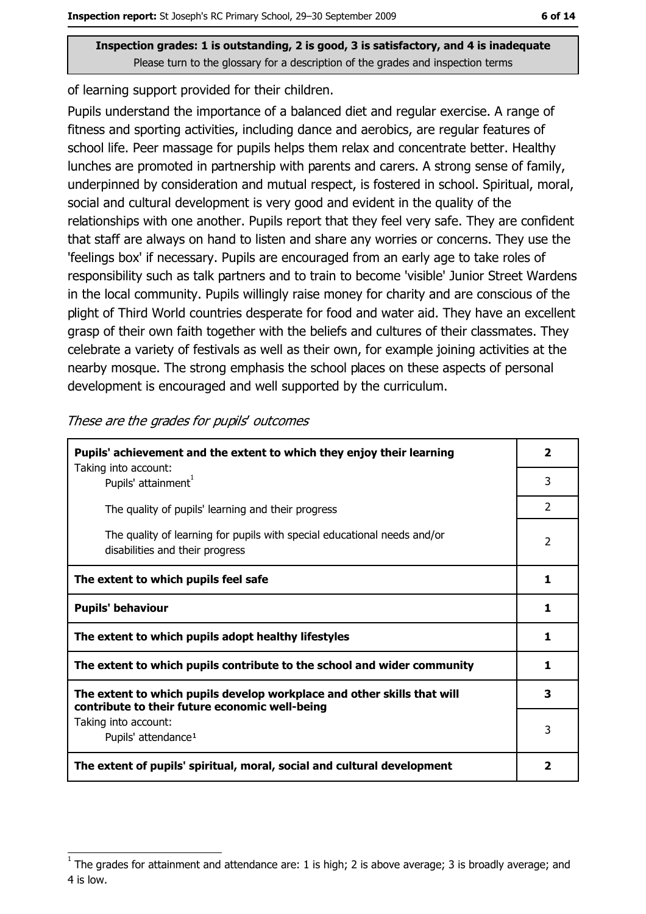of learning support provided for their children.

Pupils understand the importance of a balanced diet and regular exercise. A range of fitness and sporting activities, including dance and aerobics, are regular features of school life. Peer massage for pupils helps them relax and concentrate better. Healthy lunches are promoted in partnership with parents and carers. A strong sense of family, underpinned by consideration and mutual respect, is fostered in school. Spiritual, moral, social and cultural development is very good and evident in the quality of the relationships with one another. Pupils report that they feel very safe. They are confident that staff are always on hand to listen and share any worries or concerns. They use the 'feelings box' if necessary. Pupils are encouraged from an early age to take roles of responsibility such as talk partners and to train to become 'visible' Junior Street Wardens in the local community. Pupils willingly raise money for charity and are conscious of the plight of Third World countries desperate for food and water aid. They have an excellent grasp of their own faith together with the beliefs and cultures of their classmates. They celebrate a variety of festivals as well as their own, for example joining activities at the nearby mosque. The strong emphasis the school places on these aspects of personal development is encouraged and well supported by the curriculum.

| Pupils' achievement and the extent to which they enjoy their learning                                                     |               |
|---------------------------------------------------------------------------------------------------------------------------|---------------|
| Taking into account:<br>Pupils' attainment <sup>1</sup>                                                                   | 3             |
| The quality of pupils' learning and their progress                                                                        | $\mathcal{P}$ |
| The quality of learning for pupils with special educational needs and/or<br>disabilities and their progress               | 2             |
| The extent to which pupils feel safe                                                                                      | 1             |
| <b>Pupils' behaviour</b>                                                                                                  |               |
| The extent to which pupils adopt healthy lifestyles                                                                       | 1             |
| The extent to which pupils contribute to the school and wider community                                                   |               |
| The extent to which pupils develop workplace and other skills that will<br>contribute to their future economic well-being | 3             |
| Taking into account:                                                                                                      | 3             |
| Pupils' attendance <sup>1</sup>                                                                                           |               |
| The extent of pupils' spiritual, moral, social and cultural development                                                   |               |

These are the grades for pupils' outcomes

The grades for attainment and attendance are: 1 is high; 2 is above average; 3 is broadly average; and 4 is low.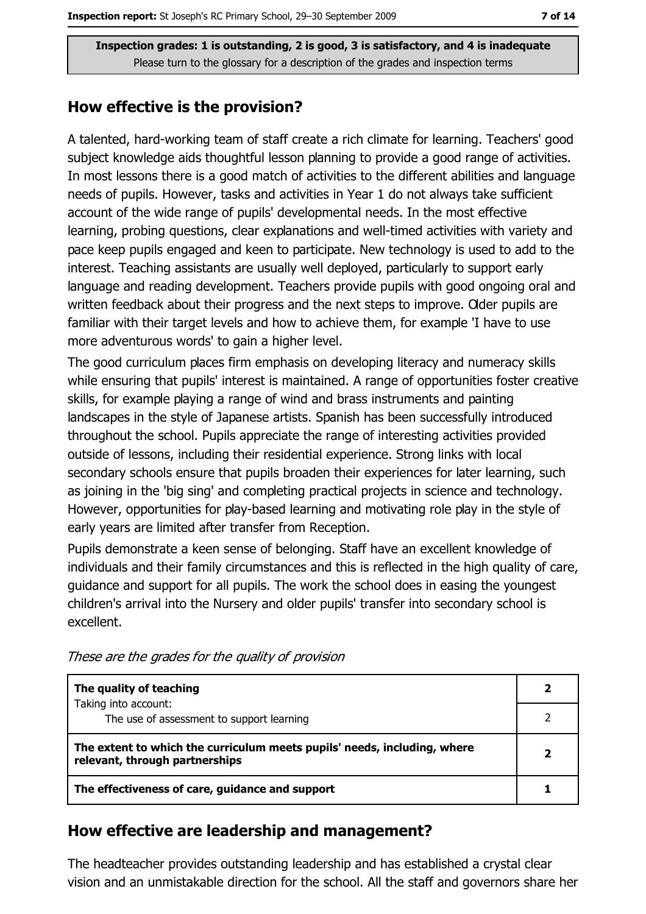#### How effective is the provision?

A talented, hard-working team of staff create a rich climate for learning. Teachers' good subject knowledge aids thoughtful lesson planning to provide a good range of activities. In most lessons there is a good match of activities to the different abilities and language needs of pupils. However, tasks and activities in Year 1 do not always take sufficient account of the wide range of pupils' developmental needs. In the most effective learning, probing questions, clear explanations and well-timed activities with variety and pace keep pupils engaged and keen to participate. New technology is used to add to the interest. Teaching assistants are usually well deployed, particularly to support early language and reading development. Teachers provide pupils with good ongoing oral and written feedback about their progress and the next steps to improve. Oder pupils are familiar with their target levels and how to achieve them, for example 'I have to use more adventurous words' to gain a higher level.

The good curriculum places firm emphasis on developing literacy and numeracy skills while ensuring that pupils' interest is maintained. A range of opportunities foster creative skills, for example playing a range of wind and brass instruments and painting landscapes in the style of Japanese artists. Spanish has been successfully introduced throughout the school. Pupils appreciate the range of interesting activities provided outside of lessons, including their residential experience. Strong links with local secondary schools ensure that pupils broaden their experiences for later learning, such as joining in the 'big sing' and completing practical projects in science and technology. However, opportunities for play-based learning and motivating role play in the style of early years are limited after transfer from Reception.

Pupils demonstrate a keen sense of belonging. Staff have an excellent knowledge of individuals and their family circumstances and this is reflected in the high quality of care, quidance and support for all pupils. The work the school does in easing the youngest children's arrival into the Nursery and older pupils' transfer into secondary school is excellent.

| The quality of teaching                                                                                    |  |
|------------------------------------------------------------------------------------------------------------|--|
| Taking into account:<br>The use of assessment to support learning                                          |  |
| The extent to which the curriculum meets pupils' needs, including, where<br>relevant, through partnerships |  |
| The effectiveness of care, guidance and support                                                            |  |

These are the grades for the quality of provision

## How effective are leadership and management?

The headteacher provides outstanding leadership and has established a crystal clear vision and an unmistakable direction for the school. All the staff and governors share her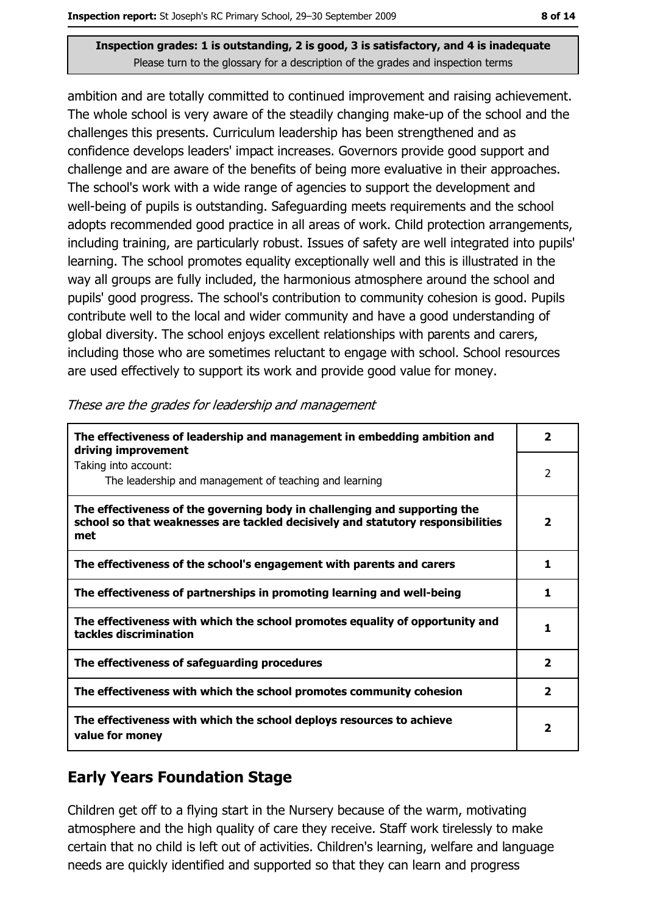ambition and are totally committed to continued improvement and raising achievement. The whole school is very aware of the steadily changing make-up of the school and the challenges this presents. Curriculum leadership has been strengthened and as confidence develops leaders' impact increases. Governors provide good support and challenge and are aware of the benefits of being more evaluative in their approaches. The school's work with a wide range of agencies to support the development and well-being of pupils is outstanding. Safeguarding meets requirements and the school adopts recommended good practice in all areas of work. Child protection arrangements, including training, are particularly robust. Issues of safety are well integrated into pupils' learning. The school promotes equality exceptionally well and this is illustrated in the way all groups are fully included, the harmonious atmosphere around the school and pupils' good progress. The school's contribution to community cohesion is good. Pupils contribute well to the local and wider community and have a good understanding of global diversity. The school enjoys excellent relationships with parents and carers, including those who are sometimes reluctant to engage with school. School resources are used effectively to support its work and provide good value for money.

| The effectiveness of leadership and management in embedding ambition and<br>driving improvement                                                                     | $\mathbf{2}$            |
|---------------------------------------------------------------------------------------------------------------------------------------------------------------------|-------------------------|
| Taking into account:<br>The leadership and management of teaching and learning                                                                                      | 2                       |
| The effectiveness of the governing body in challenging and supporting the<br>school so that weaknesses are tackled decisively and statutory responsibilities<br>met | 2                       |
| The effectiveness of the school's engagement with parents and carers                                                                                                | 1                       |
| The effectiveness of partnerships in promoting learning and well-being                                                                                              | 1                       |
| The effectiveness with which the school promotes equality of opportunity and<br>tackles discrimination                                                              | 1                       |
| The effectiveness of safeguarding procedures                                                                                                                        | $\overline{\mathbf{2}}$ |
| The effectiveness with which the school promotes community cohesion                                                                                                 | 2                       |
| The effectiveness with which the school deploys resources to achieve<br>value for money                                                                             | 2                       |

These are the grades for leadership and management

## **Early Years Foundation Stage**

Children get off to a flying start in the Nursery because of the warm, motivating atmosphere and the high quality of care they receive. Staff work tirelessly to make certain that no child is left out of activities. Children's learning, welfare and language needs are quickly identified and supported so that they can learn and progress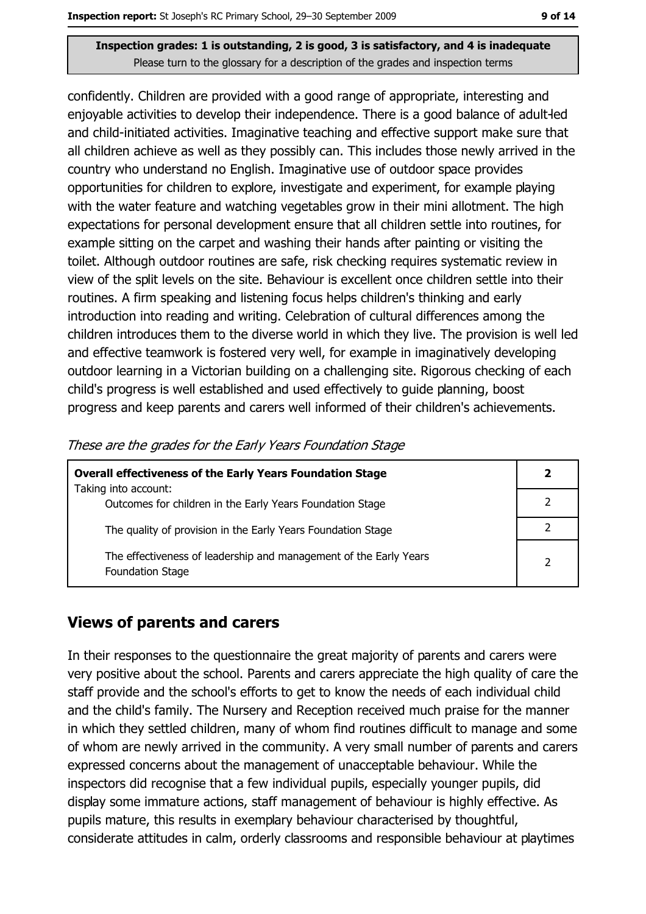confidently. Children are provided with a good range of appropriate, interesting and enjoyable activities to develop their independence. There is a good balance of adult-led and child-initiated activities. Imaginative teaching and effective support make sure that all children achieve as well as they possibly can. This includes those newly arrived in the country who understand no English. Imaginative use of outdoor space provides opportunities for children to explore, investigate and experiment, for example playing with the water feature and watching vegetables grow in their mini allotment. The high expectations for personal development ensure that all children settle into routines, for example sitting on the carpet and washing their hands after painting or visiting the toilet. Although outdoor routines are safe, risk checking requires systematic review in view of the split levels on the site. Behaviour is excellent once children settle into their routines. A firm speaking and listening focus helps children's thinking and early introduction into reading and writing. Celebration of cultural differences among the children introduces them to the diverse world in which they live. The provision is well led and effective teamwork is fostered very well, for example in imaginatively developing outdoor learning in a Victorian building on a challenging site. Rigorous checking of each child's progress is well established and used effectively to guide planning, boost progress and keep parents and carers well informed of their children's achievements.

| <b>Overall effectiveness of the Early Years Foundation Stage</b>                             |   |  |
|----------------------------------------------------------------------------------------------|---|--|
| Taking into account:<br>Outcomes for children in the Early Years Foundation Stage            |   |  |
| The quality of provision in the Early Years Foundation Stage                                 |   |  |
| The effectiveness of leadership and management of the Early Years<br><b>Foundation Stage</b> | າ |  |

These are the grades for the Early Years Foundation Stage

#### **Views of parents and carers**

In their responses to the questionnaire the great majority of parents and carers were very positive about the school. Parents and carers appreciate the high quality of care the staff provide and the school's efforts to get to know the needs of each individual child and the child's family. The Nursery and Reception received much praise for the manner in which they settled children, many of whom find routines difficult to manage and some of whom are newly arrived in the community. A very small number of parents and carers expressed concerns about the management of unacceptable behaviour. While the inspectors did recognise that a few individual pupils, especially younger pupils, did display some immature actions, staff management of behaviour is highly effective. As pupils mature, this results in exemplary behaviour characterised by thoughtful, considerate attitudes in calm, orderly classrooms and responsible behaviour at playtimes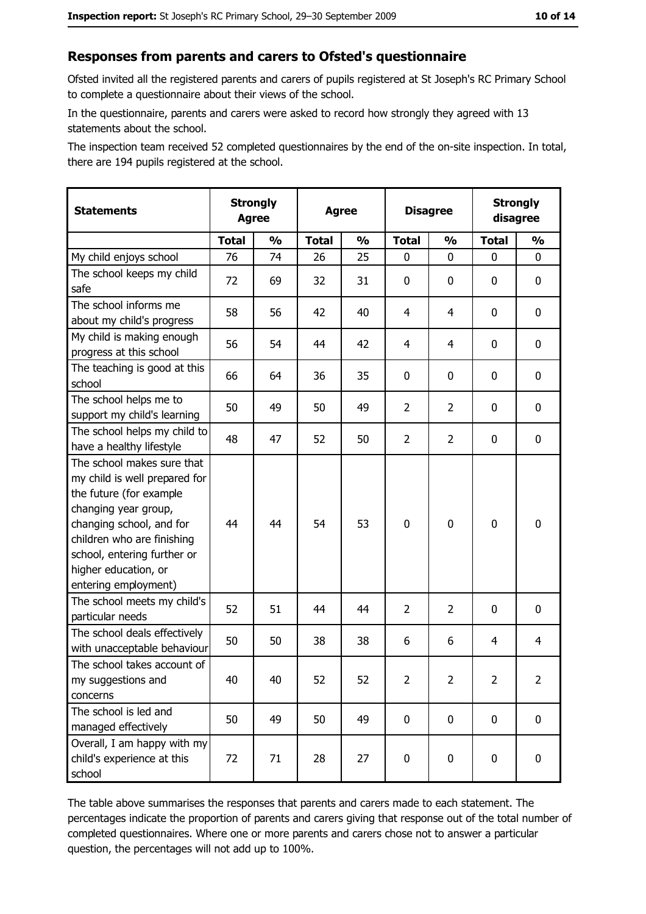#### Responses from parents and carers to Ofsted's questionnaire

Ofsted invited all the registered parents and carers of pupils registered at St Joseph's RC Primary School to complete a questionnaire about their views of the school.

In the questionnaire, parents and carers were asked to record how strongly they agreed with 13 statements about the school.

The inspection team received 52 completed questionnaires by the end of the on-site inspection. In total, there are 194 pupils registered at the school.

| <b>Statements</b>                                                                                                                                                                                                                                       | <b>Strongly</b><br><b>Agree</b> |               | <b>Agree</b> |               | <b>Disagree</b> |                | <b>Strongly</b><br>disagree |                |
|---------------------------------------------------------------------------------------------------------------------------------------------------------------------------------------------------------------------------------------------------------|---------------------------------|---------------|--------------|---------------|-----------------|----------------|-----------------------------|----------------|
|                                                                                                                                                                                                                                                         | <b>Total</b>                    | $\frac{1}{2}$ | <b>Total</b> | $\frac{1}{2}$ | <b>Total</b>    | $\frac{0}{0}$  | <b>Total</b>                | $\frac{1}{2}$  |
| My child enjoys school                                                                                                                                                                                                                                  | 76                              | 74            | 26           | 25            | 0               | 0              | $\Omega$                    | 0              |
| The school keeps my child<br>safe                                                                                                                                                                                                                       | 72                              | 69            | 32           | 31            | 0               | 0              | 0                           | 0              |
| The school informs me<br>about my child's progress                                                                                                                                                                                                      | 58                              | 56            | 42           | 40            | 4               | 4              | 0                           | $\mathbf 0$    |
| My child is making enough<br>progress at this school                                                                                                                                                                                                    | 56                              | 54            | 44           | 42            | 4               | 4              | 0                           | 0              |
| The teaching is good at this<br>school                                                                                                                                                                                                                  | 66                              | 64            | 36           | 35            | 0               | 0              | 0                           | 0              |
| The school helps me to<br>support my child's learning                                                                                                                                                                                                   | 50                              | 49            | 50           | 49            | $\overline{2}$  | $\overline{2}$ | 0                           | 0              |
| The school helps my child to<br>have a healthy lifestyle                                                                                                                                                                                                | 48                              | 47            | 52           | 50            | $\overline{2}$  | $\overline{2}$ | 0                           | 0              |
| The school makes sure that<br>my child is well prepared for<br>the future (for example<br>changing year group,<br>changing school, and for<br>children who are finishing<br>school, entering further or<br>higher education, or<br>entering employment) | 44                              | 44            | 54           | 53            | $\overline{0}$  | 0              | $\mathbf 0$                 | $\mathbf 0$    |
| The school meets my child's<br>particular needs                                                                                                                                                                                                         | 52                              | 51            | 44           | 44            | $\overline{2}$  | 2              | 0                           | 0              |
| The school deals effectively<br>with unacceptable behaviour                                                                                                                                                                                             | 50                              | 50            | 38           | 38            | 6               | 6              | 4                           | 4              |
| The school takes account of<br>my suggestions and<br>concerns                                                                                                                                                                                           | 40                              | 40            | 52           | 52            | $\overline{2}$  | 2              | $\overline{2}$              | $\overline{2}$ |
| The school is led and<br>managed effectively                                                                                                                                                                                                            | 50                              | 49            | 50           | 49            | $\mathbf 0$     | 0              | $\bf{0}$                    | $\mathbf 0$    |
| Overall, I am happy with my<br>child's experience at this<br>school                                                                                                                                                                                     | 72                              | 71            | 28           | 27            | $\mathbf 0$     | 0              | $\mathbf 0$                 | $\mathbf 0$    |

The table above summarises the responses that parents and carers made to each statement. The percentages indicate the proportion of parents and carers giving that response out of the total number of completed questionnaires. Where one or more parents and carers chose not to answer a particular question, the percentages will not add up to 100%.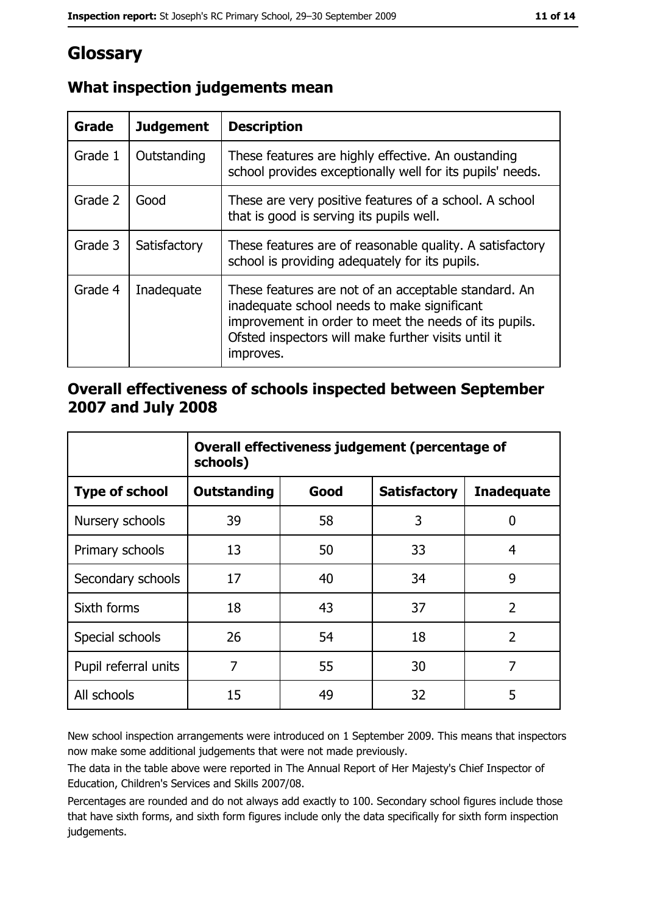## Glossary

| <b>Grade</b> | <b>Judgement</b> | <b>Description</b>                                                                                                                                                                                                               |
|--------------|------------------|----------------------------------------------------------------------------------------------------------------------------------------------------------------------------------------------------------------------------------|
| Grade 1      | Outstanding      | These features are highly effective. An oustanding<br>school provides exceptionally well for its pupils' needs.                                                                                                                  |
| Grade 2      | Good             | These are very positive features of a school. A school<br>that is good is serving its pupils well.                                                                                                                               |
| Grade 3      | Satisfactory     | These features are of reasonable quality. A satisfactory<br>school is providing adequately for its pupils.                                                                                                                       |
| Grade 4      | Inadequate       | These features are not of an acceptable standard. An<br>inadequate school needs to make significant<br>improvement in order to meet the needs of its pupils.<br>Ofsted inspectors will make further visits until it<br>improves. |

## What inspection judgements mean

#### Overall effectiveness of schools inspected between September 2007 and July 2008

|                       | Overall effectiveness judgement (percentage of<br>schools) |      |                     |                   |
|-----------------------|------------------------------------------------------------|------|---------------------|-------------------|
| <b>Type of school</b> | Outstanding                                                | Good | <b>Satisfactory</b> | <b>Inadequate</b> |
| Nursery schools       | 39                                                         | 58   | 3                   | 0                 |
| Primary schools       | 13                                                         | 50   | 33                  | 4                 |
| Secondary schools     | 17                                                         | 40   | 34                  | 9                 |
| Sixth forms           | 18                                                         | 43   | 37                  | $\overline{2}$    |
| Special schools       | 26                                                         | 54   | 18                  | $\overline{2}$    |
| Pupil referral units  | 7                                                          | 55   | 30                  | 7                 |
| All schools           | 15                                                         | 49   | 32                  | 5                 |

New school inspection arrangements were introduced on 1 September 2009. This means that inspectors now make some additional judgements that were not made previously.

The data in the table above were reported in The Annual Report of Her Majesty's Chief Inspector of Education, Children's Services and Skills 2007/08.

Percentages are rounded and do not always add exactly to 100. Secondary school figures include those that have sixth forms, and sixth form figures include only the data specifically for sixth form inspection judgements.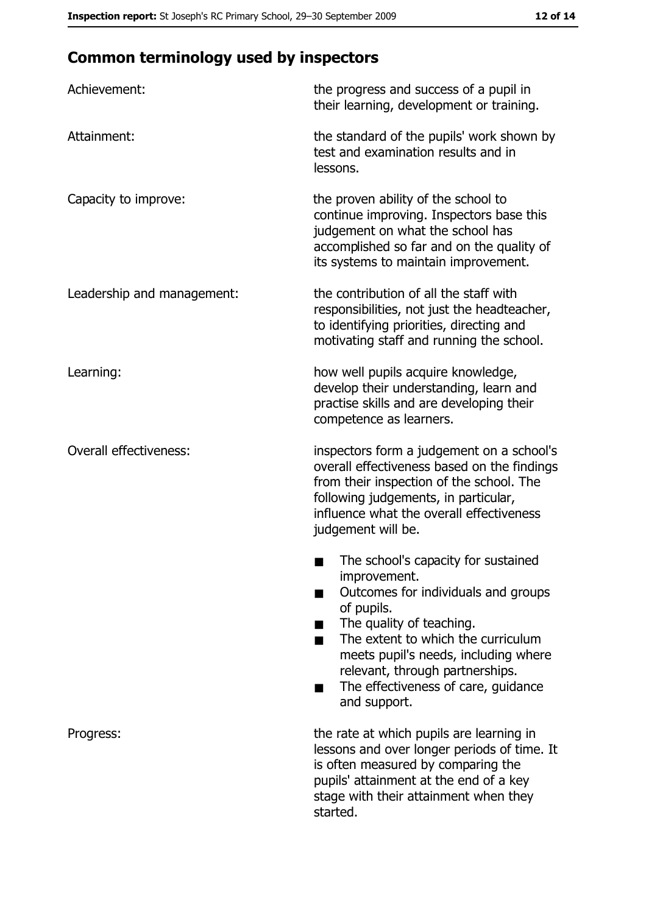## **Common terminology used by inspectors**

| Achievement:                  | the progress and success of a pupil in<br>their learning, development or training.                                                                                                                                                                                                                           |
|-------------------------------|--------------------------------------------------------------------------------------------------------------------------------------------------------------------------------------------------------------------------------------------------------------------------------------------------------------|
| Attainment:                   | the standard of the pupils' work shown by<br>test and examination results and in<br>lessons.                                                                                                                                                                                                                 |
| Capacity to improve:          | the proven ability of the school to<br>continue improving. Inspectors base this<br>judgement on what the school has<br>accomplished so far and on the quality of<br>its systems to maintain improvement.                                                                                                     |
| Leadership and management:    | the contribution of all the staff with<br>responsibilities, not just the headteacher,<br>to identifying priorities, directing and<br>motivating staff and running the school.                                                                                                                                |
| Learning:                     | how well pupils acquire knowledge,<br>develop their understanding, learn and<br>practise skills and are developing their<br>competence as learners.                                                                                                                                                          |
| <b>Overall effectiveness:</b> | inspectors form a judgement on a school's<br>overall effectiveness based on the findings<br>from their inspection of the school. The<br>following judgements, in particular,<br>influence what the overall effectiveness<br>judgement will be.                                                               |
|                               | The school's capacity for sustained<br>improvement.<br>Outcomes for individuals and groups<br>of pupils.<br>The quality of teaching.<br>The extent to which the curriculum<br>meets pupil's needs, including where<br>relevant, through partnerships.<br>The effectiveness of care, guidance<br>and support. |
| Progress:                     | the rate at which pupils are learning in<br>lessons and over longer periods of time. It<br>is often measured by comparing the<br>pupils' attainment at the end of a key<br>stage with their attainment when they<br>started.                                                                                 |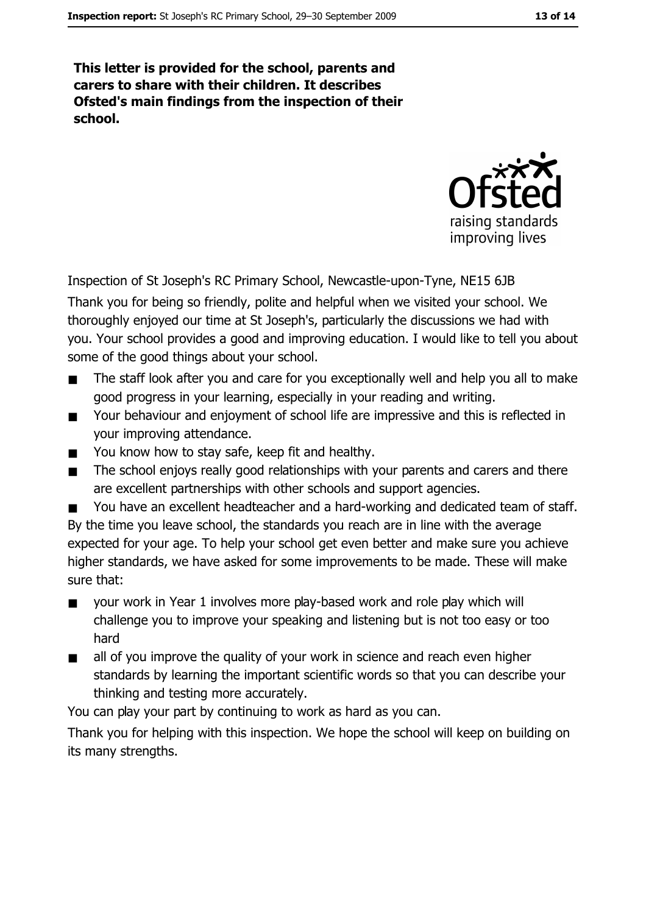This letter is provided for the school, parents and carers to share with their children. It describes Ofsted's main findings from the inspection of their school.



Inspection of St Joseph's RC Primary School, Newcastle-upon-Tyne, NE15 6JB

Thank you for being so friendly, polite and helpful when we visited your school. We thoroughly enjoyed our time at St Joseph's, particularly the discussions we had with you. Your school provides a good and improving education. I would like to tell you about some of the good things about your school.

- The staff look after you and care for you exceptionally well and help you all to make good progress in your learning, especially in your reading and writing.
- Your behaviour and enjoyment of school life are impressive and this is reflected in  $\blacksquare$ vour improving attendance.
- You know how to stay safe, keep fit and healthy.  $\blacksquare$
- The school enjoys really good relationships with your parents and carers and there  $\blacksquare$ are excellent partnerships with other schools and support agencies.
- You have an excellent headteacher and a hard-working and dedicated team of staff.  $\blacksquare$ By the time you leave school, the standards you reach are in line with the average expected for your age. To help your school get even better and make sure you achieve higher standards, we have asked for some improvements to be made. These will make sure that:
- your work in Year 1 involves more play-based work and role play which will  $\blacksquare$ challenge you to improve your speaking and listening but is not too easy or too hard
- all of you improve the quality of your work in science and reach even higher  $\blacksquare$ standards by learning the important scientific words so that you can describe your thinking and testing more accurately.

You can play your part by continuing to work as hard as you can.

Thank you for helping with this inspection. We hope the school will keep on building on its many strengths.